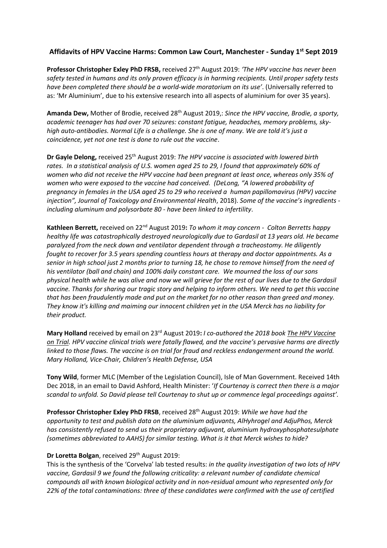## **Affidavits of HPV Vaccine Harms: Common Law Court, Manchester - Sunday 1 st Sept 2019**

**Professor Christopher Exley PhD FRSB,** received 27th August 2019: *'The HPV vaccine has never been safety tested in humans and its only proven efficacy is in harming recipients. Until proper safety tests have been completed there should be a world-wide moratorium on its use'*. (Universally referred to as: 'Mr Aluminium', due to his extensive research into all aspects of aluminium for over 35 years).

**Amanda Dew,** Mother of Brodie, received 28th August 2019,: *Since the HPV vaccine, Brodie, a sporty, academic teenager has had over 70 seizures: constant fatigue, headaches, memory problems, skyhigh auto-antibodies. Normal Life is a challenge. She is one of many. We are told it's just a coincidence, yet not one test is done to rule out the vaccine*.

**Dr Gayle Delong,** received 25th August 2019: *The HPV vaccine is associated with lowered birth rates. In a statistical analysis of U.S. women aged 25 to 29, I found that approximately 60% of women who did not receive the HPV vaccine had been pregnant at least once, whereas only 35% of women who were exposed to the vaccine had conceived. (DeLong, "A lowered probability of pregnancy in females in the USA aged 25 to 29 who received a human papillomavirus (HPV) vaccine injection", Journal of Toxicology and Environmental Health*, 2018). *Some of the vaccine's ingredients including aluminum and polysorbate 80 - have been linked to infertility*.

**Kathleen Berrett,** received on 22nd August 2019**:** *To whom it may concern - Colton Berretts happy healthy life was catastrophically destroyed neurologically due to Gardasil at 13 years old. He became paralyzed from the neck down and ventilator dependent through a tracheostomy. He diligently fought to recover for 3.5 years spending countless hours at therapy and doctor appointments. As a senior in high school just 2 months prior to turning 18, he chose to remove himself from the need of his ventilator (ball and chain) and 100% daily constant care.**We mourned the loss of our sons physical health while he was alive and now we will grieve for the rest of our lives due to the Gardasil vaccine. Thanks for sharing our tragic story and helping to inform others. We need to get this vaccine that has been fraudulently made and put on the market for no other reason than greed and money. They know it's killing and maiming our innocent children yet in the USA Merck has no liability for their product.* 

**Mary Holland** received by email on 23rd August 2019**:** *I co-authored the 2018 book The HPV Vaccine on Trial. HPV vaccine clinical trials were fatally flawed, and the vaccine's pervasive harms are directly linked to those flaws. The vaccine is on trial for fraud and reckless endangerment around the world. Mary Holland, Vice-Chair, Children's Health Defense, USA*

**Tony Wild**, former MLC (Member of the Legislation Council), Isle of Man Government. Received 14th Dec 2018, in an email to David Ashford, Health Minister: '*If Courtenay is correct then there is a major scandal to unfold. So David please tell Courtenay to shut up or commence legal proceedings against'.*

**Professor Christopher Exley PhD FRSB**, received 28th August 2019: *While we have had the opportunity to test and publish data on the aluminium adjuvants, AlHyhrogel and AdjuPhos, Merck has consistently refused to send us their proprietary adjuvant, aluminium hydroxyphosphatesulphate (sometimes abbreviated to AAHS) for similar testing. What is it that Merck wishes to hide?*

## **Dr Loretta Bolgan**, received 29<sup>th</sup> August 2019:

This is the synthesis of the 'Corvelva' lab tested results: *in the quality investigation of two lots of HPV vaccine, Gardasil 9 we found the following criticality: a relevant number of candidate chemical compounds all with known biological activity and in non-residual amount who represented only for 22% of the total contaminations: three of these candidates were confirmed with the use of certified*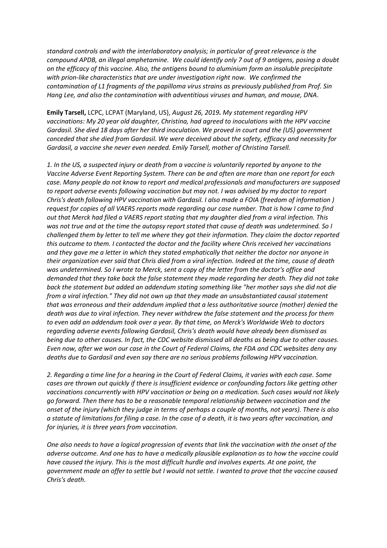*standard controls and with the interlaboratory analysis; in particular of great relevance is the compound APDB, an illegal amphetamine. We could identify only 7 out of 9 antigens, posing a doubt on the efficacy of this vaccine. Also, the antigens bound to aluminium form an insoluble precipitate with prion-like characteristics that are under investigation right now. We confirmed the contamination of L1 fragments of the papilloma virus strains as previously published from Prof. Sin Hang Lee, and also the contamination with adventitious viruses and human, and mouse, DNA*.

**Emily Tarsell,** LCPC, LCPAT (Maryland, US), *August 26, 2019. My statement regarding HPV vaccinations: My 20 year old daughter, Christina, had agreed to inoculations with the HPV vaccine Gardasil. She died 18 days after her third inoculation. We proved in court and the (US) government conceded that she died from Gardasil. We were deceived about the safety, efficacy and necessity for Gardasil, a vaccine she never even needed. Emily Tarsell, mother of Christina Tarsell.*

*1. In the US, a suspected injury or death from a vaccine is voluntarily reported by anyone to the Vaccine Adverse Event Reporting System. There can be and often are more than one report for each case. Many people do not know to report and medical professionals and manufacturers are supposed to report adverse events following vaccination but may not. I was advised by my doctor to report Chris's death following HPV vaccination with Gardasil. I also made a FOIA (freedom of information ) request for copies of all VAERS reports made regarding our case number. That is how I came to find out that Merck had filed a VAERS report stating that my daughter died from a viral infection. This was not true and at the time the autopsy report stated that cause of death was undetermined. So I challenged them by letter to tell me where they got their information. They claim the doctor reported this outcome to them. I contacted the doctor and the facility where Chris received her vaccinations and they gave me a letter in which they stated emphatically that neither the doctor nor anyone in their organization ever said that Chris died from a viral infection. Indeed at the time, cause of death was undetermined. So I wrote to Merck, sent a copy of the letter from the doctor's office and demanded that they take back the false statement they made regarding her death. They did not take back the statement but added an addendum stating something like "her mother says she did not die from a viral infection." They did not own up that they made an unsubstantiated causal statement that was erroneous and their addendum implied that a less authoritative source (mother) denied the death was due to viral infection. They never withdrew the false statement and the process for them to even add an addendum took over a year. By that time, on Merck's Worldwide Web to doctors regarding adverse events following Gardasil, Chris's death would have already been dismissed as being due to other causes. In fact, the CDC website dismissed all deaths as being due to other causes. Even now, after we won our case in the Court of Federal Claims, the FDA and CDC websites deny any deaths due to Gardasil and even say there are no serious problems following HPV vaccination.*

*2. Regarding a time line for a hearing in the Court of Federal Claims, it varies with each case. Some cases are thrown out quickly if there is insufficient evidence or confounding factors like getting other vaccinations concurrently with HPV vaccination or being on a medication. Such cases would not likely go forward. Then there has to be a reasonable temporal relationship between vaccination and the onset of the injury (which they judge in terms of perhaps a couple of months, not years). There is also a statute of limitations for filing a case. In the case of a death, it is two years after vaccination, and for injuries, it is three years from vaccination.*

*One also needs to have a logical progression of events that link the vaccination with the onset of the adverse outcome. And one has to have a medically plausible explanation as to how the vaccine could have caused the injury. This is the most difficult hurdle and involves experts. At one point, the government made an offer to settle but I would not settle. I wanted to prove that the vaccine caused Chris's death.*